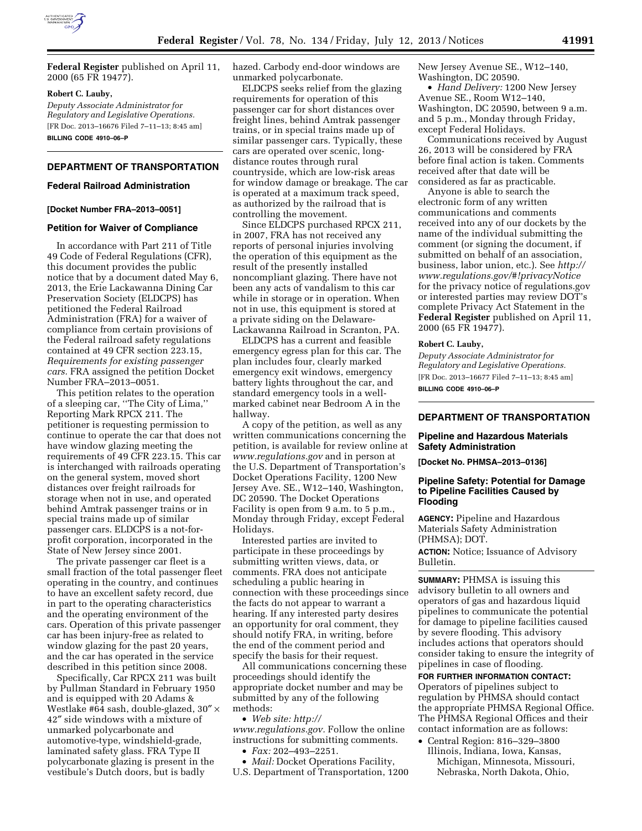

**Federal Register** published on April 11, 2000 (65 FR 19477).

#### **Robert C. Lauby,**

*Deputy Associate Administrator for Regulatory and Legislative Operations.*  [FR Doc. 2013–16676 Filed 7–11–13; 8:45 am] **BILLING CODE 4910–06–P** 

### **DEPARTMENT OF TRANSPORTATION**

### **Federal Railroad Administration**

#### **[Docket Number FRA–2013–0051]**

#### **Petition for Waiver of Compliance**

In accordance with Part 211 of Title 49 Code of Federal Regulations (CFR), this document provides the public notice that by a document dated May 6, 2013, the Erie Lackawanna Dining Car Preservation Society (ELDCPS) has petitioned the Federal Railroad Administration (FRA) for a waiver of compliance from certain provisions of the Federal railroad safety regulations contained at 49 CFR section 223.15, *Requirements for existing passenger cars.* FRA assigned the petition Docket Number FRA–2013–0051.

This petition relates to the operation of a sleeping car, ''The City of Lima,'' Reporting Mark RPCX 211. The petitioner is requesting permission to continue to operate the car that does not have window glazing meeting the requirements of 49 CFR 223.15. This car is interchanged with railroads operating on the general system, moved short distances over freight railroads for storage when not in use, and operated behind Amtrak passenger trains or in special trains made up of similar passenger cars. ELDCPS is a not-forprofit corporation, incorporated in the State of New Jersey since 2001.

The private passenger car fleet is a small fraction of the total passenger fleet operating in the country, and continues to have an excellent safety record, due in part to the operating characteristics and the operating environment of the cars. Operation of this private passenger car has been injury-free as related to window glazing for the past 20 years, and the car has operated in the service described in this petition since 2008.

Specifically, Car RPCX 211 was built by Pullman Standard in February 1950 and is equipped with 20 Adams & Westlake #64 sash, double-glazed, 30″ × 42″ side windows with a mixture of unmarked polycarbonate and automotive-type, windshield-grade, laminated safety glass. FRA Type II polycarbonate glazing is present in the vestibule's Dutch doors, but is badly

hazed. Carbody end-door windows are unmarked polycarbonate.

ELDCPS seeks relief from the glazing requirements for operation of this passenger car for short distances over freight lines, behind Amtrak passenger trains, or in special trains made up of similar passenger cars. Typically, these cars are operated over scenic, longdistance routes through rural countryside, which are low-risk areas for window damage or breakage. The car is operated at a maximum track speed, as authorized by the railroad that is controlling the movement.

Since ELDCPS purchased RPCX 211, in 2007, FRA has not received any reports of personal injuries involving the operation of this equipment as the result of the presently installed noncompliant glazing. There have not been any acts of vandalism to this car while in storage or in operation. When not in use, this equipment is stored at a private siding on the Delaware-Lackawanna Railroad in Scranton, PA.

ELDCPS has a current and feasible emergency egress plan for this car. The plan includes four, clearly marked emergency exit windows, emergency battery lights throughout the car, and standard emergency tools in a wellmarked cabinet near Bedroom A in the hallway.

A copy of the petition, as well as any written communications concerning the petition, is available for review online at *[www.regulations.gov](http://www.regulations.gov)* and in person at the U.S. Department of Transportation's Docket Operations Facility, 1200 New Jersey Ave. SE., W12–140, Washington, DC 20590. The Docket Operations Facility is open from 9 a.m. to 5 p.m., Monday through Friday, except Federal Holidays.

Interested parties are invited to participate in these proceedings by submitting written views, data, or comments. FRA does not anticipate scheduling a public hearing in connection with these proceedings since the facts do not appear to warrant a hearing. If any interested party desires an opportunity for oral comment, they should notify FRA, in writing, before the end of the comment period and specify the basis for their request.

All communications concerning these proceedings should identify the appropriate docket number and may be submitted by any of the following methods:

• *Web site: [http://](http://www.regulations.gov) [www.regulations.gov.](http://www.regulations.gov)* Follow the online instructions for submitting comments.

• *Fax:* 202–493–2251.

• *Mail:* Docket Operations Facility, U.S. Department of Transportation, 1200 New Jersey Avenue SE., W12–140, Washington, DC 20590.

• *Hand Delivery:* 1200 New Jersey Avenue SE., Room W12–140, Washington, DC 20590, between 9 a.m. and 5 p.m., Monday through Friday, except Federal Holidays.

Communications received by August 26, 2013 will be considered by FRA before final action is taken. Comments received after that date will be considered as far as practicable.

Anyone is able to search the electronic form of any written communications and comments received into any of our dockets by the name of the individual submitting the comment (or signing the document, if submitted on behalf of an association, business, labor union, etc.). See *[http://](http://www.regulations.gov/#!privacyNotice) [www.regulations.gov/#!privacyNotice](http://www.regulations.gov/#!privacyNotice)*  for the privacy notice of regulations.gov or interested parties may review DOT's complete Privacy Act Statement in the **Federal Register** published on April 11, 2000 (65 FR 19477).

## **Robert C. Lauby,**

*Deputy Associate Administrator for Regulatory and Legislative Operations.*  [FR Doc. 2013–16677 Filed 7–11–13; 8:45 am] **BILLING CODE 4910–06–P** 

## **DEPARTMENT OF TRANSPORTATION**

### **Pipeline and Hazardous Materials Safety Administration**

**[Docket No. PHMSA–2013–0136]** 

### **Pipeline Safety: Potential for Damage to Pipeline Facilities Caused by Flooding**

**AGENCY:** Pipeline and Hazardous Materials Safety Administration (PHMSA); DOT.

**ACTION:** Notice; Issuance of Advisory Bulletin.

**SUMMARY:** PHMSA is issuing this advisory bulletin to all owners and operators of gas and hazardous liquid pipelines to communicate the potential for damage to pipeline facilities caused by severe flooding. This advisory includes actions that operators should consider taking to ensure the integrity of pipelines in case of flooding.

**FOR FURTHER INFORMATION CONTACT:**  Operators of pipelines subject to regulation by PHMSA should contact the appropriate PHMSA Regional Office. The PHMSA Regional Offices and their contact information are as follows:

• Central Region: 816–329–3800 Illinois, Indiana, Iowa, Kansas, Michigan, Minnesota, Missouri, Nebraska, North Dakota, Ohio,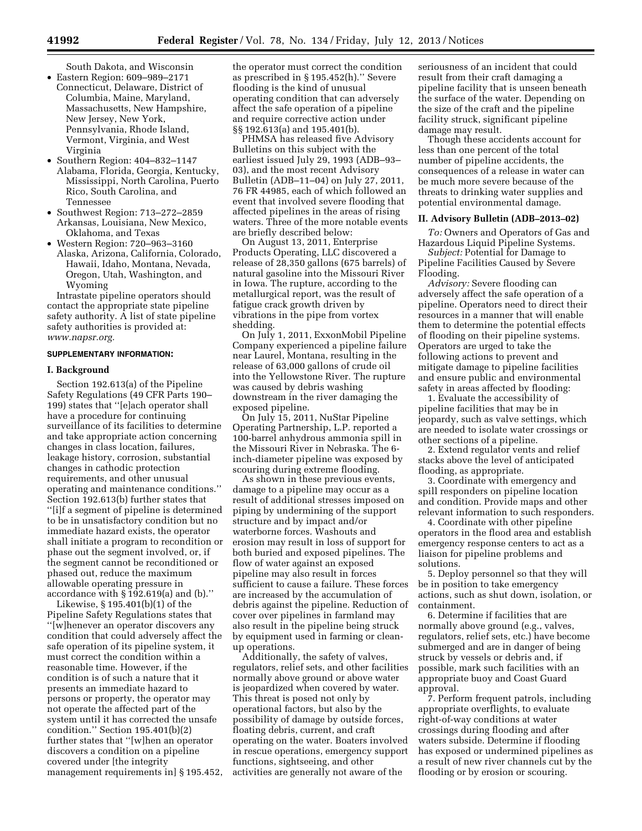South Dakota, and Wisconsin

- Eastern Region: 609–989–2171 Connecticut, Delaware, District of Columbia, Maine, Maryland, Massachusetts, New Hampshire, New Jersey, New York, Pennsylvania, Rhode Island, Vermont, Virginia, and West Virginia
- Southern Region: 404–832–1147 Alabama, Florida, Georgia, Kentucky, Mississippi, North Carolina, Puerto Rico, South Carolina, and Tennessee
- Southwest Region: 713–272–2859 Arkansas, Louisiana, New Mexico, Oklahoma, and Texas
- Western Region: 720–963–3160 Alaska, Arizona, California, Colorado, Hawaii, Idaho, Montana, Nevada, Oregon, Utah, Washington, and Wyoming

Intrastate pipeline operators should contact the appropriate state pipeline safety authority. A list of state pipeline safety authorities is provided at: *[www.napsr.org.](http://www.napsr.org)* 

### **SUPPLEMENTARY INFORMATION:**

#### **I. Background**

Section 192.613(a) of the Pipeline Safety Regulations (49 CFR Parts 190– 199) states that ''[e]ach operator shall have a procedure for continuing surveillance of its facilities to determine and take appropriate action concerning changes in class location, failures, leakage history, corrosion, substantial changes in cathodic protection requirements, and other unusual operating and maintenance conditions.'' Section 192.613(b) further states that ''[i]f a segment of pipeline is determined to be in unsatisfactory condition but no immediate hazard exists, the operator shall initiate a program to recondition or phase out the segment involved, or, if the segment cannot be reconditioned or phased out, reduce the maximum allowable operating pressure in accordance with § 192.619(a) and (b).''

Likewise, § 195.401(b)(1) of the Pipeline Safety Regulations states that ''[w]henever an operator discovers any condition that could adversely affect the safe operation of its pipeline system, it must correct the condition within a reasonable time. However, if the condition is of such a nature that it presents an immediate hazard to persons or property, the operator may not operate the affected part of the system until it has corrected the unsafe condition.'' Section 195.401(b)(2) further states that ''[w]hen an operator discovers a condition on a pipeline covered under [the integrity management requirements in] § 195.452,

the operator must correct the condition as prescribed in § 195.452(h).'' Severe flooding is the kind of unusual operating condition that can adversely affect the safe operation of a pipeline and require corrective action under §§ 192.613(a) and 195.401(b).

PHMSA has released five Advisory Bulletins on this subject with the earliest issued July 29, 1993 (ADB–93– 03), and the most recent Advisory Bulletin (ADB–11–04) on July 27, 2011, 76 FR 44985, each of which followed an event that involved severe flooding that affected pipelines in the areas of rising waters. Three of the more notable events are briefly described below:

On August 13, 2011, Enterprise Products Operating, LLC discovered a release of 28,350 gallons (675 barrels) of natural gasoline into the Missouri River in Iowa. The rupture, according to the metallurgical report, was the result of fatigue crack growth driven by vibrations in the pipe from vortex shedding.

On July 1, 2011, ExxonMobil Pipeline Company experienced a pipeline failure near Laurel, Montana, resulting in the release of 63,000 gallons of crude oil into the Yellowstone River. The rupture was caused by debris washing downstream in the river damaging the exposed pipeline.

On July 15, 2011, NuStar Pipeline Operating Partnership, L.P. reported a 100-barrel anhydrous ammonia spill in the Missouri River in Nebraska. The 6 inch-diameter pipeline was exposed by scouring during extreme flooding.

As shown in these previous events, damage to a pipeline may occur as a result of additional stresses imposed on piping by undermining of the support structure and by impact and/or waterborne forces. Washouts and erosion may result in loss of support for both buried and exposed pipelines. The flow of water against an exposed pipeline may also result in forces sufficient to cause a failure. These forces are increased by the accumulation of debris against the pipeline. Reduction of cover over pipelines in farmland may also result in the pipeline being struck by equipment used in farming or cleanup operations.

Additionally, the safety of valves, regulators, relief sets, and other facilities normally above ground or above water is jeopardized when covered by water. This threat is posed not only by operational factors, but also by the possibility of damage by outside forces, floating debris, current, and craft operating on the water. Boaters involved in rescue operations, emergency support functions, sightseeing, and other activities are generally not aware of the

seriousness of an incident that could result from their craft damaging a pipeline facility that is unseen beneath the surface of the water. Depending on the size of the craft and the pipeline facility struck, significant pipeline damage may result.

Though these accidents account for less than one percent of the total number of pipeline accidents, the consequences of a release in water can be much more severe because of the threats to drinking water supplies and potential environmental damage.

#### **II. Advisory Bulletin (ADB–2013–02)**

*To:* Owners and Operators of Gas and Hazardous Liquid Pipeline Systems.

*Subject:* Potential for Damage to Pipeline Facilities Caused by Severe Flooding.

*Advisory:* Severe flooding can adversely affect the safe operation of a pipeline. Operators need to direct their resources in a manner that will enable them to determine the potential effects of flooding on their pipeline systems. Operators are urged to take the following actions to prevent and mitigate damage to pipeline facilities and ensure public and environmental safety in areas affected by flooding:

1. Evaluate the accessibility of pipeline facilities that may be in jeopardy, such as valve settings, which are needed to isolate water crossings or other sections of a pipeline.

2. Extend regulator vents and relief stacks above the level of anticipated flooding, as appropriate.

3. Coordinate with emergency and spill responders on pipeline location and condition. Provide maps and other relevant information to such responders.

4. Coordinate with other pipeline operators in the flood area and establish emergency response centers to act as a liaison for pipeline problems and solutions.

5. Deploy personnel so that they will be in position to take emergency actions, such as shut down, isolation, or containment.

6. Determine if facilities that are normally above ground (e.g., valves, regulators, relief sets, etc.) have become submerged and are in danger of being struck by vessels or debris and, if possible, mark such facilities with an appropriate buoy and Coast Guard approval.

7. Perform frequent patrols, including appropriate overflights, to evaluate right-of-way conditions at water crossings during flooding and after waters subside. Determine if flooding has exposed or undermined pipelines as a result of new river channels cut by the flooding or by erosion or scouring.